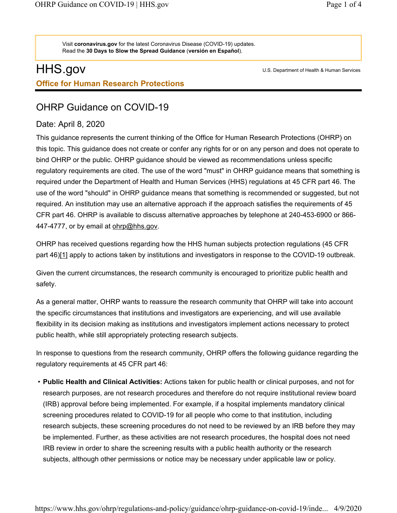Visit coronavirus.gov for the latest Coronavirus Disease (COVID-19) updates. Read the 30 Days to Slow the Spread Guidance (versión en Español).

## HHS.gov Office for Human Research Protections

U.S. Department of Health & Human Services

## OHRP Guidance on COVID-19

## Date: April 8, 2020

This guidance represents the current thinking of the Office for Human Research Protections (OHRP) on this topic. This guidance does not create or confer any rights for or on any person and does not operate to bind OHRP or the public. OHRP guidance should be viewed as recommendations unless specific regulatory requirements are cited. The use of the word "must" in OHRP guidance means that something is required under the Department of Health and Human Services (HHS) regulations at 45 CFR part 46. The use of the word "should" in OHRP guidance means that something is recommended or suggested, but not required. An institution may use an alternative approach if the approach satisfies the requirements of 45 CFR part 46. OHRP is available to discuss alternative approaches by telephone at 240-453-6900 or 866- 447-4777, or by email at ohrp@hhs.gov.

OHRP has received questions regarding how the HHS human subjects protection regulations (45 CFR part 46)[1] apply to actions taken by institutions and investigators in response to the COVID-19 outbreak.

Given the current circumstances, the research community is encouraged to prioritize public health and safety.

As a general matter, OHRP wants to reassure the research community that OHRP will take into account the specific circumstances that institutions and investigators are experiencing, and will use available flexibility in its decision making as institutions and investigators implement actions necessary to protect public health, while still appropriately protecting research subjects.

In response to questions from the research community, OHRP offers the following guidance regarding the regulatory requirements at 45 CFR part 46:

• Public Health and Clinical Activities: Actions taken for public health or clinical purposes, and not for research purposes, are not research procedures and therefore do not require institutional review board (IRB) approval before being implemented. For example, if a hospital implements mandatory clinical screening procedures related to COVID-19 for all people who come to that institution, including research subjects, these screening procedures do not need to be reviewed by an IRB before they may be implemented. Further, as these activities are not research procedures, the hospital does not need IRB review in order to share the screening results with a public health authority or the research subjects, although other permissions or notice may be necessary under applicable law or policy.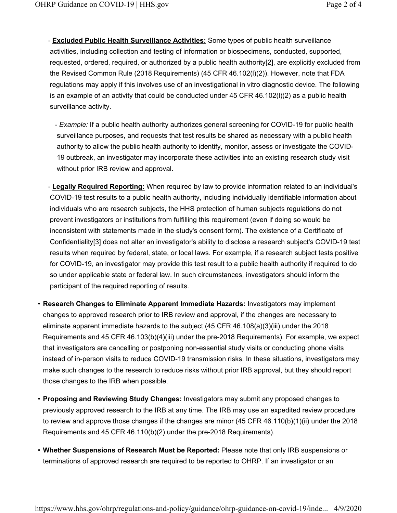- <u>Excluded Public Health Surveillance Activities:</u> Some types of public health surveillance activities, including collection and testing of information or biospecimens, conducted, supported, requested, ordered, required, or authorized by a public health authority[2], are explicitly excluded from the Revised Common Rule (2018 Requirements) (45 CFR 46.102(l)(2)). However, note that FDA regulations may apply if this involves use of an investigational in vitro diagnostic device. The following is an example of an activity that could be conducted under 45 CFR 46.102(l)(2) as a public health surveillance activity.
	- Example: If a public health authority authorizes general screening for COVID-19 for public health surveillance purposes, and requests that test results be shared as necessary with a public health authority to allow the public health authority to identify, monitor, assess or investigate the COVID-19 outbreak, an investigator may incorporate these activities into an existing research study visit without prior IRB review and approval.
- <u>Legally Required Reporting:</u> When required by law to provide information related to an individual's COVID-19 test results to a public health authority, including individually identifiable information about individuals who are research subjects, the HHS protection of human subjects regulations do not prevent investigators or institutions from fulfilling this requirement (even if doing so would be inconsistent with statements made in the study's consent form). The existence of a Certificate of Confidentiality[3] does not alter an investigator's ability to disclose a research subject's COVID-19 test results when required by federal, state, or local laws. For example, if a research subject tests positive for COVID-19, an investigator may provide this test result to a public health authority if required to do so under applicable state or federal law. In such circumstances, investigators should inform the participant of the required reporting of results.
- Research Changes to Eliminate Apparent Immediate Hazards: Investigators may implement changes to approved research prior to IRB review and approval, if the changes are necessary to eliminate apparent immediate hazards to the subject (45 CFR 46.108(a)(3)(iii) under the 2018 Requirements and 45 CFR 46.103(b)(4)(iii) under the pre-2018 Requirements). For example, we expect that investigators are cancelling or postponing non-essential study visits or conducting phone visits instead of in-person visits to reduce COVID-19 transmission risks. In these situations, investigators may make such changes to the research to reduce risks without prior IRB approval, but they should report those changes to the IRB when possible.
- Proposing and Reviewing Study Changes: Investigators may submit any proposed changes to previously approved research to the IRB at any time. The IRB may use an expedited review procedure to review and approve those changes if the changes are minor (45 CFR 46.110(b)(1)(ii) under the 2018 Requirements and 45 CFR 46.110(b)(2) under the pre-2018 Requirements).
- Whether Suspensions of Research Must be Reported: Please note that only IRB suspensions or terminations of approved research are required to be reported to OHRP. If an investigator or an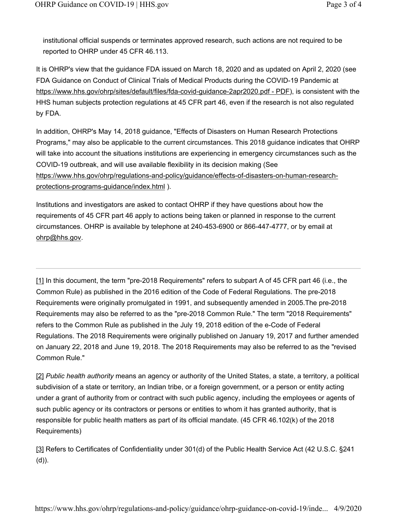institutional official suspends or terminates approved research, such actions are not required to be reported to OHRP under 45 CFR 46.113.

It is OHRP's view that the guidance FDA issued on March 18, 2020 and as updated on April 2, 2020 (see FDA Guidance on Conduct of Clinical Trials of Medical Products during the COVID-19 Pandemic at https://www.hhs.gov/ohrp/sites/default/files/fda-covid-guidance-2apr2020.pdf - PDF), is consistent with the HHS human subjects protection regulations at 45 CFR part 46, even if the research is not also regulated by FDA.

In addition, OHRP's May 14, 2018 guidance, "Effects of Disasters on Human Research Protections Programs," may also be applicable to the current circumstances. This 2018 guidance indicates that OHRP will take into account the situations institutions are experiencing in emergency circumstances such as the COVID-19 outbreak, and will use available flexibility in its decision making (See https://www.hhs.gov/ohrp/regulations-and-policy/guidance/effects-of-disasters-on-human-researchprotections-programs-guidance/index.html ).

Institutions and investigators are asked to contact OHRP if they have questions about how the requirements of 45 CFR part 46 apply to actions being taken or planned in response to the current circumstances. OHRP is available by telephone at 240-453-6900 or 866-447-4777, or by email at ohrp@hhs.gov.

[1] In this document, the term "pre-2018 Requirements" refers to subpart A of 45 CFR part 46 (i.e., the Common Rule) as published in the 2016 edition of the Code of Federal Regulations. The pre-2018 Requirements were originally promulgated in 1991, and subsequently amended in 2005.The pre-2018 Requirements may also be referred to as the "pre-2018 Common Rule." The term "2018 Requirements" refers to the Common Rule as published in the July 19, 2018 edition of the e-Code of Federal Regulations. The 2018 Requirements were originally published on January 19, 2017 and further amended on January 22, 2018 and June 19, 2018. The 2018 Requirements may also be referred to as the "revised Common Rule."

[2] Public health authority means an agency or authority of the United States, a state, a territory, a political subdivision of a state or territory, an Indian tribe, or a foreign government, or a person or entity acting under a grant of authority from or contract with such public agency, including the employees or agents of such public agency or its contractors or persons or entities to whom it has granted authority, that is responsible for public health matters as part of its official mandate. (45 CFR 46.102(k) of the 2018 Requirements)

[3] Refers to Certificates of Confidentiality under 301(d) of the Public Health Service Act (42 U.S.C. §241 (d)).

https://www.hhs.gov/ohrp/regulations-and-policy/guidance/ohrp-guidance-on-covid-19/inde... 4/9/2020